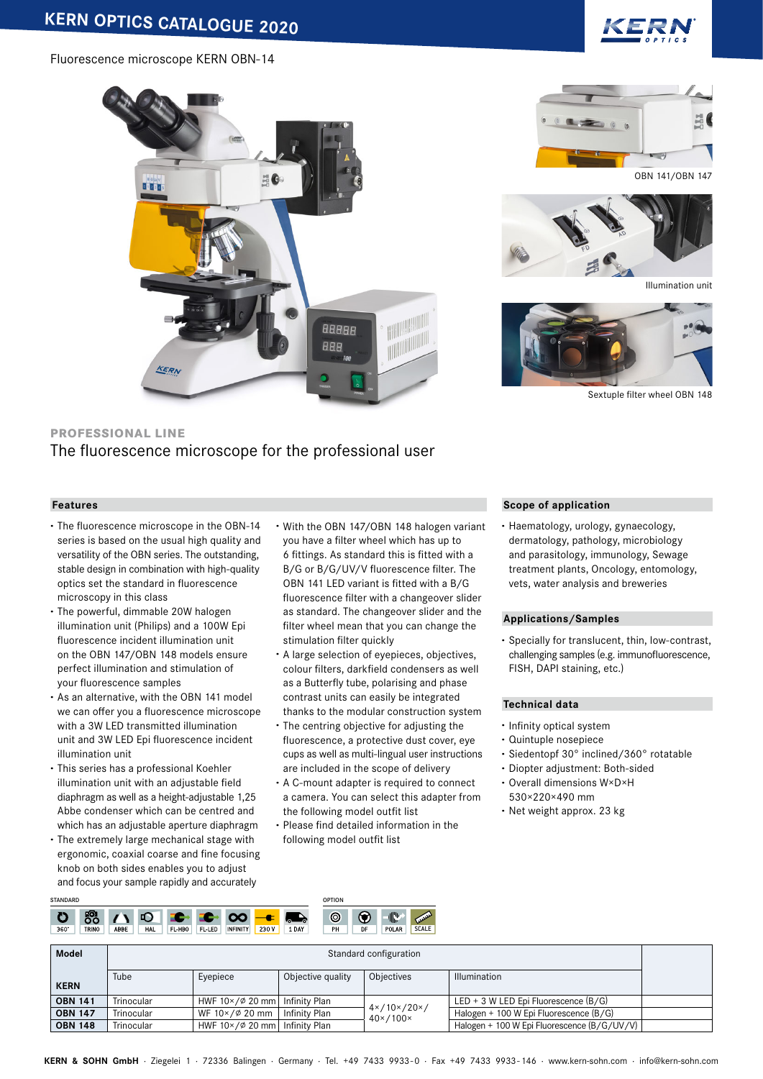# Fluorescence microscope KERN OBN-14







Illumination unit



Sextuple filter wheel OBN 148

# **PROFESSIONAL LINE**

# The fluorescence microscope for the professional user

# **Features**

- **·** The fluorescence microscope in the OBN-14 series is based on the usual high quality and versatility of the OBN series. The outstanding, stable design in combination with high-quality optics set the standard in fluorescence microscopy in this class
- **·** The powerful, dimmable 20W halogen illumination unit (Philips) and a 100W Epi fluorescence incident illumination unit on the OBN 147/OBN 148 models ensure perfect illumination and stimulation of your fluorescence samples
- **·** As an alternative, with the OBN 141 model we can offer you a fluorescence microscope with a 3W LED transmitted illumination unit and 3W LED Epi fluorescence incident illumination unit
- **·** This series has a professional Koehler illumination unit with an adjustable field diaphragm as well as a height-adjustable 1,25 Abbe condenser which can be centred and which has an adjustable aperture diaphragm
- **·** The extremely large mechanical stage with ergonomic, coaxial coarse and fine focusing knob on both sides enables you to adjust and focus your sample rapidly and accurately
- **·** With the OBN 147/OBN 148 halogen variant you have a filter wheel which has up to 6 fittings. As standard this is fitted with a B/G or B/G/UV/V fluorescence filter. The OBN 141 LED variant is fitted with a B/G fluorescence filter with a changeover slider as standard. The changeover slider and the filter wheel mean that you can change the stimulation filter quickly
- **·** A large selection of eyepieces, objectives, colour filters, darkfield condensers as well as a Butterfly tube, polarising and phase contrast units can easily be integrated thanks to the modular construction system
- **·** The centring objective for adjusting the fluorescence, a protective dust cover, eye cups as well as multi-lingual user instructions are included in the scope of delivery
- **·** A C-mount adapter is required to connect a camera. You can select this adapter from the following model outfit list
- **·** Please find detailed information in the following model outfit list

### **Scope of application**

**·** Haematology, urology, gynaecology, dermatology, pathology, microbiology and parasitology, immunology, Sewage treatment plants, Oncology, entomology, vets, water analysis and breweries

#### **Applications/Samples**

**·** Specially for translucent, thin, low-contrast, challenging samples (e.g. immunofluorescence, FISH, DAPI staining, etc.)

#### **Technical data**

- **·** Infinity optical system
- **·** Quintuple nosepiece
- **·** Siedentopf 30° inclined/360° rotatable
- **·** Diopter adjustment: Both-sided
- **·** Overall dimensions W×D×H 530×220×490 mm
- **·** Net weight approx. 23 kg

| <b>STANDARD</b>           |                              |        |                           |                            | OPTION               |    |            |                              |
|---------------------------|------------------------------|--------|---------------------------|----------------------------|----------------------|----|------------|------------------------------|
| ю<br>$360^\circ$<br>TRINO | ш<br>п<br>ABBE<br><b>HAL</b> | FL-HBO | <b>INFINITY</b><br>FL-LED | v.<br>. .<br>230V<br>. DAY | $\circledcirc$<br>PH | DF | 爬<br>POLAR | <b>AMARK</b><br><b>SCALE</b> |

| <b>Model</b>   |            |                                        |                   | Standard configuration                                         |                                             |  |
|----------------|------------|----------------------------------------|-------------------|----------------------------------------------------------------|---------------------------------------------|--|
| <b>KERN</b>    | Tube       | Evepiece                               | Objective quality | Objectives                                                     | <b>Illumination</b>                         |  |
| <b>OBN 141</b> | Trinocular | HWF $10 \times 620$ mm                 | Infinity Plan     |                                                                | LED + 3 W LED Epi Fluorescence $(B/G)$      |  |
| <b>OBN 147</b> | Trinocular | WF $10 \times 620$ mm                  | Infinity Plan     | $4 \times / 10 \times / 20 \times /$<br>$40 \times 100 \times$ | Halogen + 100 W Epi Fluorescence (B/G)      |  |
| <b>OBN 148</b> | Trinocular | HWF $10 \times 620$ mm   Infinity Plan |                   |                                                                | Halogen + 100 W Epi Fluorescence (B/G/UV/V) |  |

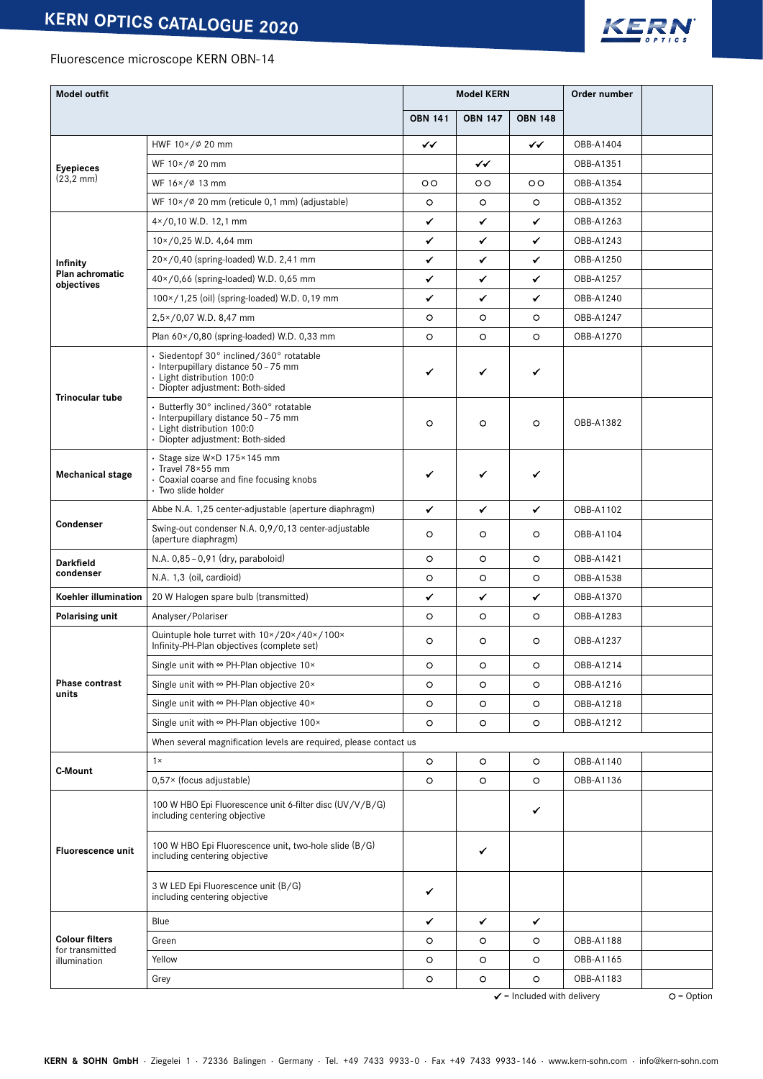

# Fluorescence microscope KERN OBN-14

| <b>Model outfit</b>                                                                      |                                                                                                                                                    | <b>Model KERN</b>                     |                |                | Order number |  |
|------------------------------------------------------------------------------------------|----------------------------------------------------------------------------------------------------------------------------------------------------|---------------------------------------|----------------|----------------|--------------|--|
|                                                                                          |                                                                                                                                                    |                                       | <b>OBN 147</b> | <b>OBN 148</b> |              |  |
|                                                                                          | HWF 10×/Ø 20 mm                                                                                                                                    |                                       |                | ✓✓             | OBB-A1404    |  |
| <b>Eyepieces</b>                                                                         | WF 10×/Ø 20 mm                                                                                                                                     |                                       | ✓✓             |                | OBB-A1351    |  |
| $(23, 2 \text{ mm})$                                                                     | WF 16×/Ø 13 mm                                                                                                                                     | $\circ$                               | $\circ$        | $\circ$        | OBB-A1354    |  |
|                                                                                          | WF $10 \times / \emptyset$ 20 mm (reticule 0,1 mm) (adjustable)                                                                                    | $\circ$                               | O              | O              | OBB-A1352    |  |
|                                                                                          | $4 \times 70,10$ W.D. 12,1 mm                                                                                                                      | ✔                                     | ✔              | ✔              | OBB-A1263    |  |
|                                                                                          | $10 \times 70,25$ W.D. 4,64 mm                                                                                                                     | ✓                                     | ✔              | ✔              | OBB-A1243    |  |
| Infinity                                                                                 | 20×/0,40 (spring-loaded) W.D. 2,41 mm                                                                                                              | ✓                                     | ✔              | ✓              | OBB-A1250    |  |
| Plan achromatic<br>objectives                                                            | $40 \times 70,66$ (spring-loaded) W.D. 0,65 mm                                                                                                     | ✓                                     | ✔              | ✔              | OBB-A1257    |  |
|                                                                                          | 100×/1,25 (oil) (spring-loaded) W.D. 0,19 mm                                                                                                       | ✓                                     | ✔              | ✔              | OBB-A1240    |  |
|                                                                                          | 2,5×/0,07 W.D. 8,47 mm                                                                                                                             | O                                     | $\circ$        | $\circ$        | OBB-A1247    |  |
|                                                                                          | Plan $60 \times / 0,80$ (spring-loaded) W.D. 0,33 mm                                                                                               | $\circ$                               | $\circ$        | $\circ$        | OBB-A1270    |  |
| <b>Trinocular tube</b>                                                                   | · Siedentopf 30° inclined/360° rotatable<br>· Interpupillary distance 50 - 75 mm<br>· Light distribution 100:0<br>· Diopter adjustment: Both-sided |                                       | ✔              | ✔              |              |  |
|                                                                                          | · Butterfly 30° inclined/360° rotatable<br>· Interpupillary distance 50 - 75 mm<br>· Light distribution 100:0<br>· Diopter adjustment: Both-sided  | O                                     | O              | $\circ$        | OBB-A1382    |  |
| <b>Mechanical stage</b>                                                                  | · Stage size W×D 175×145 mm<br>· Travel 78×55 mm<br>• Coaxial coarse and fine focusing knobs<br>· Two slide holder                                 |                                       | ✔              | ✔              |              |  |
|                                                                                          | Abbe N.A. 1,25 center-adjustable (aperture diaphragm)                                                                                              | ✓                                     | ✓              | ✔              | OBB-A1102    |  |
| Condenser<br>Swing-out condenser N.A. 0,9/0,13 center-adjustable<br>(aperture diaphragm) |                                                                                                                                                    | O                                     | O              | $\circ$        | OBB-A1104    |  |
| Darkfield                                                                                | N.A. 0,85 - 0,91 (dry, paraboloid)                                                                                                                 | $\circ$                               | O              | O              | OBB-A1421    |  |
| condenser                                                                                | N.A. 1,3 (oil, cardioid)                                                                                                                           | O                                     | O              | O              | OBB-A1538    |  |
| Koehler illumination                                                                     | 20 W Halogen spare bulb (transmitted)                                                                                                              |                                       | ✔              | ✔              | OBB-A1370    |  |
| Polarising unit                                                                          | Analyser/Polariser                                                                                                                                 | O                                     | O              | O              | OBB-A1283    |  |
|                                                                                          | Quintuple hole turret with $10 \times / 20 \times / 40 \times / 100 \times$<br>Infinity-PH-Plan objectives (complete set)                          | O                                     | O              | O              | OBB-A1237    |  |
|                                                                                          | Single unit with $\infty$ PH-Plan objective 10×                                                                                                    | $\circ$                               | O              | $\circ$        | OBB-A1214    |  |
| <b>Phase contrast</b><br>units                                                           | Single unit with $\infty$ PH-Plan objective 20 $\times$                                                                                            | $\circ$                               | O              | $\circ$        | OBB-A1216    |  |
|                                                                                          | Single unit with $\infty$ PH-Plan objective 40×                                                                                                    | $\circ$                               | $\circ$        | $\circ$        | OBB-A1218    |  |
|                                                                                          | Single unit with ∞ PH-Plan objective 100×                                                                                                          | $\circ$                               | $\circ$        | $\circ$        | OBB-A1212    |  |
|                                                                                          | When several magnification levels are required, please contact us                                                                                  |                                       |                |                |              |  |
| C-Mount                                                                                  | $1 \times$                                                                                                                                         | $\circ$                               | $\circ$        | $\circ$        | OBB-A1140    |  |
|                                                                                          | $0,57 \times$ (focus adjustable)                                                                                                                   | $\circ$                               | $\circ$        | $\circ$        | OBB-A1136    |  |
|                                                                                          | 100 W HBO Epi Fluorescence unit 6-filter disc (UV/V/B/G)<br>including centering objective                                                          |                                       |                | ✔              |              |  |
| <b>Fluorescence unit</b>                                                                 | 100 W HBO Epi Fluorescence unit, two-hole slide (B/G)<br>including centering objective                                                             |                                       | ✔              |                |              |  |
|                                                                                          | 3 W LED Epi Fluorescence unit (B/G)<br>including centering objective                                                                               | ✔                                     |                |                |              |  |
|                                                                                          | Blue                                                                                                                                               | ✔                                     | ✔              | ✔              |              |  |
| <b>Colour filters</b><br>for transmitted                                                 | Green                                                                                                                                              | $\circ$                               | $\circ$        | $\circ$        | OBB-A1188    |  |
| illumination                                                                             | Yellow                                                                                                                                             | O                                     | $\circ$        | $\circ$        | OBB-A1165    |  |
|                                                                                          | Grey                                                                                                                                               | O                                     | $\circ$        | $\circ$        | OBB-A1183    |  |
|                                                                                          |                                                                                                                                                    | $\checkmark$ = Included with delivery | $O = Option$   |                |              |  |